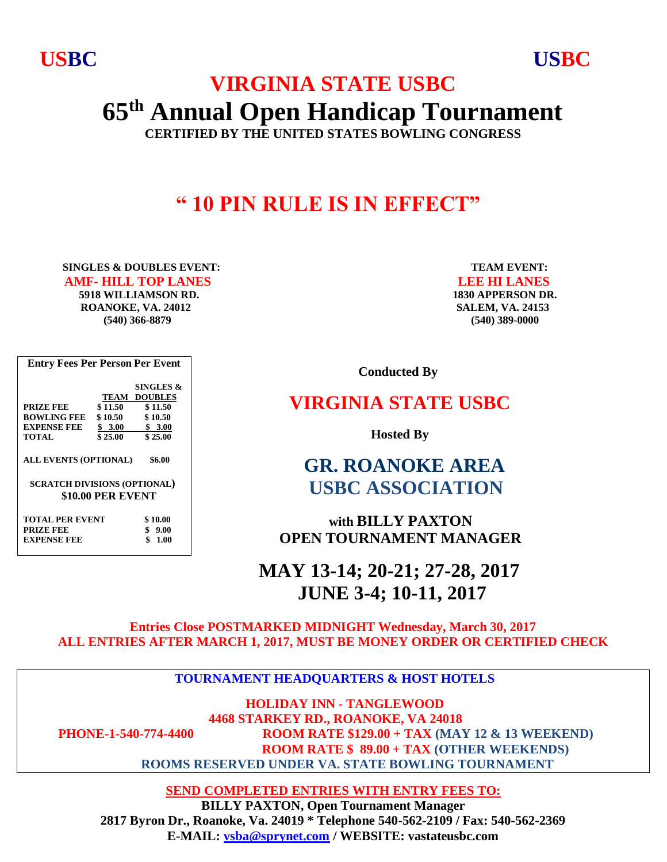**USBC USBC**

# **VIRGINIA STATE USBC 65 th Annual Open Handicap Tournament**

**CERTIFIED BY THE UNITED STATES BOWLING CONGRESS**

# **" 10 PIN RULE IS IN EFFECT"**

**SINGLES & DOUBLES EVENT:** TEAM EVENT:

 **AMF- HILL TOP LANES LEE HI LANES 5918 WILLIAMSON RD. 1830 APPERSON DR. ROANOKE, VA. 24012 SALEM, VA. 24153 (540) 366-8879 (540) 389-0000**

 **Conducted By**

## **VIRGINIA STATE USBC**

 **Hosted By**

# **GR. ROANOKE AREA USBC ASSOCIATION**

 **with BILLY PAXTON OPEN TOURNAMENT MANAGER**

 **MAY 13-14; 20-21; 27-28, 2017 JUNE 3-4; 10-11, 2017**

**Entries Close POSTMARKED MIDNIGHT Wednesday, March 30, 2017 ALL ENTRIES AFTER MARCH 1, 2017, MUST BE MONEY ORDER OR CERTIFIED CHECK**

 **TOURNAMENT HEADQUARTERS & HOST HOTELS**

 **HOLIDAY INN - TANGLEWOOD 4468 STARKEY RD., ROANOKE, VA 24018 PHONE-1-540-774-4400 ROOM RATE \$129.00 + TAX (MAY 12 & 13 WEEKEND) ROOM RATE \$ 89.00 + TAX (OTHER WEEKENDS) ROOMS RESERVED UNDER VA. STATE BOWLING TOURNAMENT** 

**SEND COMPLETED ENTRIES WITH ENTRY FEES TO:**

**BILLY PAXTON, Open Tournament Manager 2817 Byron Dr., Roanoke, Va. 24019 \* Telephone 540-562-2109 / Fax: 540-562-2369 E-MAIL: vsba@sprynet.com / WEBSITE: vastateusbc.com**

**Entry Fees Per Person Per Event SINGLES & <u><b>TEAM DOUBLES**</u><br>**\$11.50 \$11.50 PRIZE FEE \$ 11.50 \$ 11.50 BOWLING FEE \$ 10.50 \$ 10.50 EXPENSE FEE**  $\frac{$}{$} \frac{3.00}{25.00} \frac{$}{$} \frac{3.00}{$} \frac{3.00}{$}$  $$ **ALL EVENTS (OPTIONAL) \$6.00 SCRATCH DIVISIONS (OPTIONAL) \$10.00 PER EVENT TOTAL PER EVENT \$ 10.00 PRIZE FEE \$ 9.00 EXPENSE FEE \$ 1.00**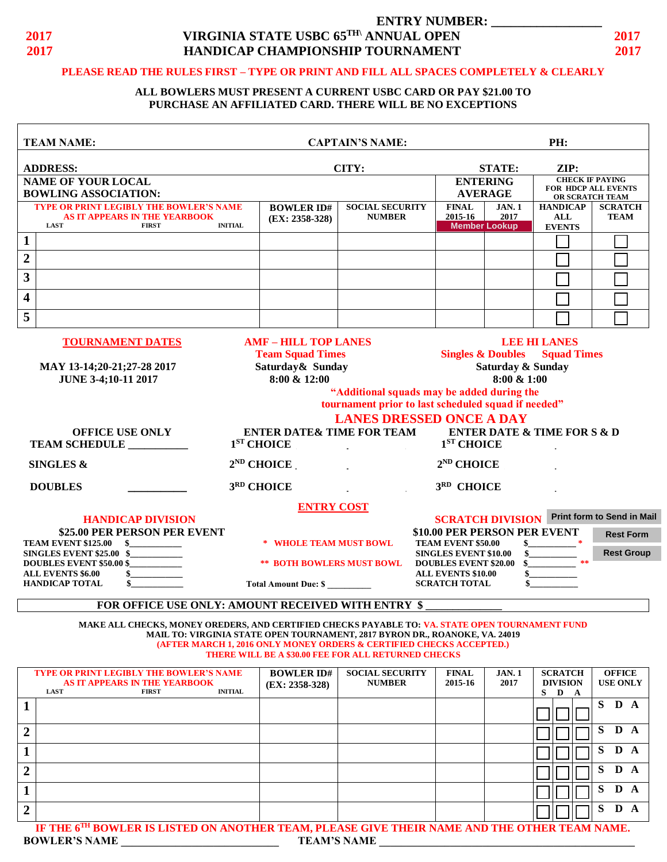

#### **ENTRY NUMBER: 2017 VIRGINIA STATE USBC 65 TH\ ANNUAL OPEN 2017 2017 HANDICAP CHAMPIONSHIP TOURNAMENT 2017**

#### **PLEASE READ THE RULES FIRST – TYPE OR PRINT AND FILL ALL SPACES COMPLETELY & CLEARLY**

#### **ALL BOWLERS MUST PRESENT A CURRENT USBC CARD OR PAY \$21.00 TO PURCHASE AN AFFILIATED CARD. THERE WILL BE NO EXCEPTIONS**

| <b>TEAM NAME:</b>                                                                                                                                                                                                                                      | <b>CAPTAIN'S NAME:</b>                                                                            |                                                   |                                                              |                       | PH:                                     |                                        |  |  |  |  |  |
|--------------------------------------------------------------------------------------------------------------------------------------------------------------------------------------------------------------------------------------------------------|---------------------------------------------------------------------------------------------------|---------------------------------------------------|--------------------------------------------------------------|-----------------------|-----------------------------------------|----------------------------------------|--|--|--|--|--|
| <b>ADDRESS:</b><br><b>NAME OF YOUR LOCAL</b>                                                                                                                                                                                                           | CITY:                                                                                             |                                                   | <b>STATE:</b><br><b>ENTERING</b>                             |                       | ZIP:<br><b>CHECK IF PAYING</b>          |                                        |  |  |  |  |  |
| <b>BOWLING ASSOCIATION:</b>                                                                                                                                                                                                                            |                                                                                                   |                                                   |                                                              | <b>AVERAGE</b>        |                                         | FOR HDCP ALL EVENTS<br>OR SCRATCH TEAM |  |  |  |  |  |
| <b>TYPE OR PRINT LEGIBLY THE BOWLER'S NAME</b><br>AS IT APPEARS IN THE YEARBOOK<br><b>LAST</b><br><b>FIRST</b><br><b>INITIAL</b>                                                                                                                       | <b>BOWLER ID#</b><br>$(EX: 2358-328)$                                                             | <b>SOCIAL SECURITY</b><br><b>NUMBER</b>           | <b>FINAL</b><br>2015-16<br><b>Member Lookup</b>              | <b>JAN. 1</b><br>2017 | <b>HANDICAP</b><br>ALL<br><b>EVENTS</b> | <b>SCRATCH</b><br><b>TEAM</b>          |  |  |  |  |  |
| 1                                                                                                                                                                                                                                                      |                                                                                                   |                                                   |                                                              |                       |                                         |                                        |  |  |  |  |  |
| $\overline{2}$                                                                                                                                                                                                                                         |                                                                                                   |                                                   |                                                              |                       |                                         |                                        |  |  |  |  |  |
| $\overline{\mathbf{3}}$                                                                                                                                                                                                                                |                                                                                                   |                                                   |                                                              |                       |                                         |                                        |  |  |  |  |  |
| 4                                                                                                                                                                                                                                                      |                                                                                                   |                                                   |                                                              |                       |                                         |                                        |  |  |  |  |  |
| 5                                                                                                                                                                                                                                                      |                                                                                                   |                                                   |                                                              |                       |                                         |                                        |  |  |  |  |  |
| <b>TOURNAMENT DATES</b><br><b>AMF - HILL TOP LANES</b><br><b>LEE HI LANES</b>                                                                                                                                                                          |                                                                                                   |                                                   |                                                              |                       |                                         |                                        |  |  |  |  |  |
| <b>Singles &amp; Doubles</b><br><b>Team Squad Times</b><br><b>Squad Times</b><br>Saturday & Sunday<br>Saturday & Sunday<br>MAY 13-14;20-21;27-28 2017<br><b>JUNE 3-4;10-11 2017</b><br>8:00 & 12:00<br>$8:00 \& 1:00$                                  |                                                                                                   |                                                   |                                                              |                       |                                         |                                        |  |  |  |  |  |
|                                                                                                                                                                                                                                                        | "Additional squads may be added during the<br>tournament prior to last scheduled squad if needed" |                                                   |                                                              |                       |                                         |                                        |  |  |  |  |  |
| <b>LANES DRESSED ONCE A DAY</b><br><b>ENTER DATE&amp; TIME FOR TEAM</b><br><b>ENTER DATE &amp; TIME FOR S &amp; D</b><br><b>OFFICE USE ONLY</b><br>$1ST$ CHOICE<br>$1ST$ CHOICE<br><b>TEAM SCHEDULE</b>                                                |                                                                                                   |                                                   |                                                              |                       |                                         |                                        |  |  |  |  |  |
| <b>SINGLES &amp;</b>                                                                                                                                                                                                                                   | $2^{ND}$ CHOICE                                                                                   |                                                   |                                                              | $2^{ND}$ CHOICE       |                                         |                                        |  |  |  |  |  |
| <b>DOUBLES</b>                                                                                                                                                                                                                                         | 3RD CHOICE                                                                                        |                                                   |                                                              | 3RD CHOICE            |                                         |                                        |  |  |  |  |  |
| <b>ENTRY COST</b>                                                                                                                                                                                                                                      |                                                                                                   |                                                   |                                                              |                       |                                         |                                        |  |  |  |  |  |
| Print form to Send in Mail<br><b>SCRATCH DIVISION</b><br><b>HANDICAP DIVISION</b>                                                                                                                                                                      |                                                                                                   |                                                   |                                                              |                       |                                         |                                        |  |  |  |  |  |
| \$25.00 PER PERSON PER EVENT<br><b>TEAM EVENT \$125.00</b><br>$\sim$                                                                                                                                                                                   | * WHOLE TEAM MUST BOWL                                                                            |                                                   | \$10.00 PER PERSON PER EVENT<br>TEAM EVENT \$50.00           |                       |                                         | <b>Rest Form</b>                       |  |  |  |  |  |
| <b>SINGLES EVENT \$25.00 \$</b><br><b>DOUBLES EVENT \$50.00 \$</b>                                                                                                                                                                                     | <b>** BOTH BOWLERS MUST BOWL</b>                                                                  |                                                   | <b>SINGLES EVENT \$10.00</b><br><b>DOUBLES EVENT \$20.00</b> | \$                    |                                         | <b>Rest Group</b>                      |  |  |  |  |  |
| <b>ALL EVENTS \$6.00</b><br>\$<br><b>HANDICAP TOTAL</b><br>\$                                                                                                                                                                                          | Total Amount Due: \$                                                                              | <b>ALL EVENTS \$10.00</b><br><b>SCRATCH TOTAL</b> | \$<br>\$                                                     |                       |                                         |                                        |  |  |  |  |  |
| FOR OFFICE USE ONLY: AMOUNT RECEIVED WITH ENTRY \$                                                                                                                                                                                                     |                                                                                                   |                                                   |                                                              |                       |                                         |                                        |  |  |  |  |  |
| MAKE ALL CHECKS, MONEY OREDERS, AND CERTIFIED CHECKS PAYABLE TO: VA. STATE OPEN TOURNAMENT FUND<br>MAIL TO: VIRGINIA STATE OPEN TOURNAMENT, 2817 BYRON DR., ROANOKE, VA. 24019<br>(AFTER MARCH 1, 2016 ONLY MONEY ORDERS & CERTIFIED CHECKS ACCEPTED.) |                                                                                                   |                                                   |                                                              |                       |                                         |                                        |  |  |  |  |  |

**THERE WILL BE A \$30.00 FEE FOR ALL RETURNED CHECKS**

|                | <b>TYPE OR PRINT LEGIBLY THE BOWLER'S NAME</b>                                               | <b>BOWLER ID#</b> | <b>SOCIAL SECURITY</b> | <b>FINAL</b> | <b>JAN.1</b> | <b>SCRATCH</b>  | <b>OFFICE</b>   |  |  |  |
|----------------|----------------------------------------------------------------------------------------------|-------------------|------------------------|--------------|--------------|-----------------|-----------------|--|--|--|
|                | AS IT APPEARS IN THE YEARBOOK                                                                | $(EX: 2358-328)$  | <b>NUMBER</b>          | 2015-16      | 2017         | <b>DIVISION</b> | <b>USE ONLY</b> |  |  |  |
|                | <b>INITIAL</b><br><b>LAST</b><br><b>FIRST</b>                                                |                   |                        |              |              | S.<br>D<br>A    |                 |  |  |  |
|                |                                                                                              |                   |                        |              |              |                 | S D A           |  |  |  |
|                |                                                                                              |                   |                        |              |              |                 |                 |  |  |  |
| $\overline{2}$ |                                                                                              |                   |                        |              |              |                 | D A             |  |  |  |
|                |                                                                                              |                   |                        |              |              |                 |                 |  |  |  |
|                |                                                                                              |                   |                        |              |              |                 | S<br>D          |  |  |  |
|                |                                                                                              |                   |                        |              |              |                 |                 |  |  |  |
| $\overline{2}$ |                                                                                              |                   |                        |              |              |                 | $\mathbf{D}$    |  |  |  |
|                |                                                                                              |                   |                        |              |              |                 | DA<br>S         |  |  |  |
|                |                                                                                              |                   |                        |              |              |                 |                 |  |  |  |
| $\overline{2}$ |                                                                                              |                   |                        |              |              |                 | S<br>D<br>A     |  |  |  |
|                | IF THE 6TH BOWLER IS LISTED ON ANOTHER TEAM, PLEASE GIVE THEIR NAME AND THE OTHER TEAM NAME. |                   |                        |              |              |                 |                 |  |  |  |